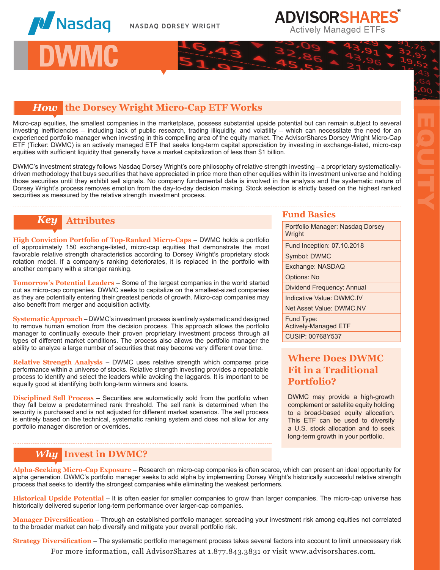

**I** DWM

## **ADVISORSHARES Actively Managed ETFs**

### *How* **the Dorsey Wright Micro-Cap ETF Works**

Micro-cap equities, the smallest companies in the marketplace, possess substantial upside potential but can remain subject to several investing inefficiencies – including lack of public research, trading illiquidity, and volatility – which can necessitate the need for an experienced portfolio manager when investing in this compelling area of the equity market. The AdvisorShares Dorsey Wright Micro-Cap ETF (Ticker: DWMC) is an actively managed ETF that seeks long-term capital appreciation by investing in exchange-listed, micro-cap equities with sufficient liquidity that generally have a market capitalization of less than \$1 billion.

DWMC's investment strategy follows Nasdaq Dorsey Wright's core philosophy of relative strength investing – a proprietary systematicallydriven methodology that buys securities that have appreciated in price more than other equities within its investment universe and holding those securities until they exhibit sell signals. No company fundamental data is involved in the analysis and the systematic nature of Dorsey Wright's process removes emotion from the day-to-day decision making. Stock selection is strictly based on the highest ranked securities as measured by the relative strength investment process.

# *Key* **Attributes Fund Basics**

**High Conviction Portfolio of Top-Ranked Micro-Caps** – DWMC holds a portfolio of approximately 150 exchange-listed, micro-cap equities that demonstrate the most favorable relative strength characteristics according to Dorsey Wright's proprietary stock rotation model. If a company's ranking deteriorates, it is replaced in the portfolio with another company with a stronger ranking.

**Tomorrow's Potential Leaders** – Some of the largest companies in the world started out as micro-cap companies. DWMC seeks to capitalize on the smallest-sized companies as they are potentially entering their greatest periods of growth. Micro-cap companies may also benefit from merger and acquisition activity.

**Systematic Approach** – DWMC's investment process is entirely systematic and designed to remove human emotion from the decision process. This approach allows the portfolio manager to continually execute their proven proprietary investment process through all types of different market conditions. The process also allows the portfolio manager the ability to analyze a large number of securities that may become very different over time.

**Relative Strength Analysis** – DWMC uses relative strength which compares price performance within a universe of stocks. Relative strength investing provides a repeatable process to identify and select the leaders while avoiding the laggards. It is important to be equally good at identifying both long-term winners and losers.

**Disciplined Sell Process** – Securities are automatically sold from the portfolio when they fall below a predetermined rank threshold. The sell rank is determined when the security is purchased and is not adjusted for different market scenarios. The sell process is entirely based on the technical, systematic ranking system and does not allow for any portfolio manager discretion or overrides.

## *Why* **Invest in DWMC?**

Portfolio Manager: Nasdaq Dorsey **Wright** Fund Inception: 07.10.2018 Symbol: DWMC Exchange: NASDAQ Options: No Dividend Frequency: Annual Indicative Value: DWMC.IV Net Asset Value: DWMC.NV Fund Type: Actively-Managed ETF CUSIP: 00768Y537

EQUITY

### **Where Does DWMC Fit in a Traditional Portfolio?**

DWMC may provide a high-growth complement or satellite equity holding to a broad-based equity allocation. This ETF can be used to diversify a U.S. stock allocation and to seek long-term growth in your portfolio.

**Alpha-Seeking Micro-Cap Exposure** – Research on micro-cap companies is often scarce, which can present an ideal opportunity for alpha generation. DWMC's portfolio manager seeks to add alpha by implementing Dorsey Wright's historically successful relative strength process that seeks to identify the strongest companies while eliminating the weakest performers.

**Historical Upside Potential** – It is often easier for smaller companies to grow than larger companies. The micro-cap universe has historically delivered superior long-term performance over larger-cap companies.

**Manager Diversification** – Through an established portfolio manager, spreading your investment risk among equities not correlated to the broader market can help diversify and mitigate your overall portfolio risk.

**Strategy Diversification** – The systematic portfolio management process takes several factors into account to limit unnecessary risk

For more information, call AdvisorShares at 1.877.843.3831 or visit www.advisorshares.com.